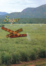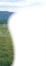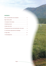# **Contents**

| 4. Empowerment issues and transformation in the sector 8 |  |
|----------------------------------------------------------|--|
|                                                          |  |
|                                                          |  |
|                                                          |  |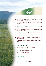

#### **Notes**

- Usukhela Milling (Pty) Ltd is owned by Illovo Sugar Ltd, and has sold shares to a black empowerment company.
- Sugar Milling Companies also own sugar estates that produce 12 % of the total crop.
- Union Co-op Ltd also owns a maize mill and a saw mill.
- Three giant companies in this industry are Illovo, Tongaat-Hulett and TSB.
- TSB owns five refineries that are known as white end mills, they produce their own refined sugar.
- Raw sugar produced at remaining mills is routed to Durban where it is refined at central refinery mills.
- In order to enter the industry, a potential grower must first come to an agreement with a miller to mill their cane.
- Molatec and Voermol are two animal feeds operations that use byproducts from cane.
- Ordering of raw cane led by Coca-Cola has greater influence on changing of prices.

#### **Key abbreviations**

|  | SACGA = South African Cane Growers' Association |
|--|-------------------------------------------------|
|  | SAMA = South African Millers' Association       |
|  | SASA = South African Sugar Association          |
|  | TSB = Transvaal Sugar Limited                   |

#### **COMPETITORs**

Brazil, Thailand, EU, Australia, India, China, USA and Cuba

Page iv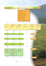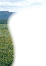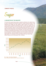# **COMMODITY PROFILE**



#### **1. DESCRIPTION OF THE INDUSTRY**

The South African sugar industry makes an important contribution to the national economy, given its agricultural and industrial investments, foreign exchange earnings, its high employment and linkages with major suppliers, support industries and customers. It is a diverse industry combining the agricultural activities of sugar-cane cultivation with the industrial factory production of raw and refined sugar, syrups and specialised sugars, and a range of by-products. Based on revenue generated through sugar sales, in the SACU region and world market exports, the South African sugar industry is responsible for generating an annual average direct income of R6 billion. The South African sugar industry contributes an estimated average R2 billion to the country's foreign exchange earnings on an annual basis. The industry is regulated in terms of the Sugar Act and the Sugar Industry Agreement, which are binding on all sugar-cane growers and producers of sugar products. The contribution of the sugar industry to the Gross Value of Agricultural Production can be summarised in Fig. 1 as folllows:



#### FIG. 1. Sugar-Gross Value of Production

Source: Directorate of Agricultural Statistics, Department of Agriculture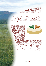The decline in the contribution of sugar to the GVP between 1999 and 2001 can be attributed to a strong rand against the dollar. Rainfall across the entire industry was below expectation up to the 2004/05 season resulting in the smallest crop since 1995/96.

#### **1.1 Production areas**

Sugar cane in South Africa is grown in 14 cane-producing areas extending from Northern Pondoland in the Eastern Cape Province through the coastal belt and Kwa-Zulu-Natal midlands to the Mpumalanga lowveld. Of the 430 000 ha currently under sugar cane, about 68 % is grown within 30 km of the coast and 17 % in the high rainfall areas of KwaZulu-Natal. The balance is grown in the northern irrigated areas that comprise Pongola and Mpumalanga lowveld.

#### **1.2 Production**

On average 22 million tons of sugar cane are produced each season from 14 mill supply areas, extending from Northern Pondoland in the Eastern Cape to the Mpumalanga Lowveld. Of the 49 085 registered sugar-cane growers 47 344 are small-scale growers mainly on tribal land of whom 23 577 delivered cane for crushing in 2004/05, accounting for 11,65 % of the total crop. This results in a cash flow of approximately R600 million flowing into the deep rural areas to small-scale growers and their service providers, many of





whom are local small-scale contractors. With the focus on empowerment of previously disadvantaged people, a growing number of black growers are entering sugar-cane farming on commercial farms made available at market related prices by the major milling companies and other sellers of freehold land. Post 1994 purchases of freehold land created more than 200 black commercial growers in the sugar industry, who own 40 000 hectares, or 11 % of freehold land under sugar cane. An additional 70 000 hectares under sugar cane are already being farmed by small-scale black growers on tribal land. In total there are 1 741 commercial growers (inclusive of the more than 200 new black commercial growers) who produce 75 % of total sugar cane-production. Milling companies with their own sugar estates produce 10,11 % of the crop. The percentage of these miller-cum-planter estates has decreased in recent years and is likely to continue doing so as the companies promote black farming development.

The area under cane production in SA since 2000 has remained constant at around 430 000 hectares. While the total area under cane expanded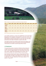

**TABLE 1. Sugar cane: area planted, cane production and sugar production**

| Year                                           | 1995/96 | 1996/97 | 1997/98 | 1998/99 | 1999/00 | 2000/01 | 2001/02 | 2002/03 | 2003/04 | 2004/05 | 2005/06 |
|------------------------------------------------|---------|---------|---------|---------|---------|---------|---------|---------|---------|---------|---------|
| Area planted<br>$(1000)$ ha)                   | 394     | 411     | 421     | 417     | 422     | 429     | 432     | 430     | 427     | 429     | 428     |
| Cane pro-<br>duction<br>$(1000$ tons)          | 16714   | 20 951  | 22 155  | 22 930  | 21 2 23 | 23 876  | 21 157  | 23 013  | 20419   | 19 0 95 | 21 048  |
| <b>Production</b><br>of sugar<br>$(1000$ tons) | 1667    | 2 2 6 9 | 2412    | 2646    | 2 5 3 2 | 2729    | 2 4 0 0 | 2 7 6 3 | 2412    | 2 2 3 5 | 2 5 0 2 |

*Source: Directorate Agricultural Statistics, Department of Agriculture*

in the mid-90s, primarily as a result of the establishment of the Komati Mill in Mpumalanga and the relocation of the Illovo Mill to its current site in Eston, where development is not constrained by urbanisation as was the case in the coast, no further significant expansion has taken place. The area under sugar cane, being a perennial crop is less subject to fluctuations compared to other crops.

Cane yields per hectare have remained at historic levels but the adoption of the Recoverable Value price system for cane payments, which incentivises good agricultural practices, has resulted in improved sugar yields per hectare.

#### **1.3 Employment**

The sugar industry makes an important contribution to direct employment in sugar-cane production and processing, and provides indirect employment for numerous support industries in the three provinces where sugar cane is grown—KwaZulu-Natal, Mpumalanga and the Eastern Cape—in sectors such as fertiliser, fuel, chemical, transport, food and services.

Direct employment within the sugar industry is approximately 85 000 jobs. Direct and indirect employment is estimated at 350 000 people. There are approximately one million people dependent on the sugar industry in South Africa. The sugar milling sector of the industry employs 12 751 people in 14 sugar mills.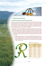# **2. Marketing structure**

#### **2.1 Domestic market and domestic sugar prices**

As members of the South African Customs Union (SACU), the total domestic market comprises of sales into all SACU countries. The South African industry's access to the SACU market has dwindled from 95 % in the early 1990s to 74 % currently. The total SACU demand is met by supply from SACU producing countries, bilateral arrangements between non-SACU countries and SACU countries, and from access granted to non-SACU-SADC surplus sugar producing countries in terms of the SADC Protocol.

Sugar prices in SACU are established in a regulated environment driven off a dollarbased reference price system, which determines the duty payable on sugar imports into SACU. This system was put in place by the Department of Trade and Industry in 2000. Millers, who sell the sugar domestically, compete against each other for market share in the direct and indirect (industrial) markets. Millers also face competition from sugar from SADC countries in terms of the SADC Free Trade Agreement, as well as from Swaziland.

The dollar-based reference price system was established by the dti on the basis of a 10-year average of the No. 5 world refined sugar price adjusted for certain elements. Outlined below as Table 2 are recent recoverable value (RV) prices paid by millers to growers together with the cane price at average recoverable values for the industry:



#### **TABLE 2. Prices paid to growers**

| Year      | Recoverable | Cane    |
|-----------|-------------|---------|
|           | Value (RV)  | price   |
|           | Price       | (R/ton) |
| 1998-1999 | 1 046,62    | 125,85  |
| 1999-2000 | 971,09      | 121,36  |
| 2000-2001 | 1 105,00    | 130,50  |
| 2001-2002 | 1 352,14    | 160,23  |
| 2002-2003 | 1 368,79    | 171,78  |
| 2003-2004 | 1 357, 01   | 169,08  |
| 2004-2005 | 1 297.19    | 159,55  |

*Source: South African Sugar Association*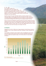At the start of the 2000/01 season, the Recoverable Value (RV) payment system replaced the sucrose payment system. The RV system recognises the effect of sucrose % cane, nonsucrose % cane and fibre % cane on sugar production. Cane quality or RV % cane is increased by greater maturity, freshness and cleanliness of the cane delivered.

Domestic sugar prices have historically tended to increase at below the consumer price index. In 2003 sugar prices have decreased with millers reporting a 7 % decline following the strengthening of the rand. In general, ex-factory sugar prices have remained unchanged since 2003 owing to the ongoing strength of the rand.

Prices in any year are impacted by revenues earned in the various markets but are also impacted by the size of the crop, whereby larger crops depress prices owing to the larger percentage of export sugar in the calculation and smaller crops increase prices owing to the smaller proportion of export sugar. RV prices have lagged behind CPI and in recent seasons prices have been flat owing to the strength of the rand.

#### **2.2 Exports**

Altogether 50 % of the 2,5 million tons of sugar produced in South Africa per season is marketed in SACU, which comprises South Africa, Swaziland, Lesotho, Botswana and Namibia.

The remainder is exported to various markets in Africa, the Middle East, the Far East (Korea and Japan), North America and Asia. During the 2002/2003 marketing season 26 % of sugar was exported to Japan, 23 % to Korea while 13 % was exported to Malaysia.



FIG. 3. Total sugar exports Source: Directorate Agricultural Statistics- Department of Agriculture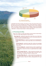

**FIG. 4. Sugar export destinations** *Source: South African Sugar Association*

In 2004/2005 South Africa exported 1 016 453 tons of sugar. Raw sugar exports are predominantly to the Far East and Middle East refineries, while refined sugar is shipped to East and Central Africa and to the Near East, i.e. Malaysia, India, Sri Lanka and Bangladesh. The industry competes directly with Brazil, Thailand, Australia and Guatemala for raw sugar markets, and with refineries in the EU (subsidised sugar exports) and the Midlle East, i.e. Dubai and Saudi Arabia, for refined sugar markets.

#### **2.3 Processing and milling**

Sugar cane is milled in 14 sugar mills situated in KwaZulu-Natal and Mpumalanga. There are six sugar milling companies in South Africa,*viz*:

- **Illovo Sugar Ltd** operates five sugar mills in South Africa, two of which have refineries and three with packaging plants. It has four cane growing estates and produces a variety of downstream products.
	- **Tongaat-Hulett Sugar Ltd** operates four sugar mills, two packaging plants, a central refinery in Durban, various sugar estates and an animal feeds operation.

**Transvall Sugar Ltd** – operates two sugar mills, a refinery and a packaging plant, sugar estates, cane and sugar transport enterprises, and an animal feeds division.

**The UCL Company Ltd** – previously known as Union Co-operative Ltd has recently converted to a company. The company also operates a wattle extract factory, a maize mill, a saw mill, a payroll division and a trading division.

**Umvoti Transport (Pty) Ltd** – a black empowerment grouping, owns the Umfolozi mill, located in the Umfolozi region on the North Coast of KwaZulu-Natal. The operation consists of a sugar mill only.

**Ushukela Milling (Pty) Ltd** – a black empowerment grouping owns the Gledhow Mill, located on the North Coast of KwaZulu-Natal. The operation comprises a sugar mill, refinery, packaging plant and a sugar estate.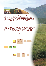

Harvested sugar cane is transported to the sugar mills where it is washed and fed into machines for shredding. The chopped fibre is mixed with water and pressed to produce **cane juice**. The fibrous mass left after pressing is known as **bagasse**, and is used as animal feed, to make paper or as fuel to generate energy. The cane juice is then treated with lime and hot water to make it less acidic and prevent it from changing into glucose or fructose. The juice goes to a purifier to remove impurities.

After further heating and filtration, the juice goes to the evaporator and vacuum pan where much of the remaining water is removed, leaving **syrup** behind. As the syrup cools it forms crystals. The mixture is put in a centrifuge, leaving the crystals behind. **Molasses**, a thick, dark fluid rich in vitamins and minerals, is used as cattle feed and to make brewer's yeast and alcoholic drinks such as cane spirits.

The raw sugar crystals will still have some molasses stuck to them and are sent to the refinery for further processing. The molasses are removed by soaking the raw sugar in a solution so saturated with sugar that none of the raw sugar crystals can dissolve. The crystals are then dissolved in water and the solution is filtered to remove impurities.

The **syrup** then has the entire remaining colour removed from it in a bed of activated charcoal. After this complex process the sugar is crystallised again and the crystals are tumbled in a machine until pure **white sugar** is obtained.



#### **3. MARKET VALUE CHAIN**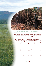

#### **4. EMPOWERMENT ISSUES AND TRANSFORMATION IN THE SECTOR**

With the growth of economic development and empowerment of previously disadvantaged people, a growing number of medium-scale farmers are continuing to enter sugar-cane production on farms made available at market-related prices by the major milling companies.

A *New Freehold Grower (NFG) programme*, which evolved through the Ithala Development Finance Corporation Limited and sugar millers Illovo Sugar Limited and Tongaat-Hulett Group opened doors to previously disadvantaged individuals owning and operating their own commercial sugar farms. The scheme provided for coordinated redistribution of farmland within the sugar industry and assists in balancing the demographics of suppliers of cane to sugar mills. Currently the scheme supports a total of 120 medium-scale sugar farmers, 68 as a result of Illovo Sugar Limited interventions and 52 through the Tongaat-Hulett Group's actions.

*Inkezo*, a land reform company was established in 2004 as an initiative developed by growers and millers in the South African sugar industry. The primary objective is to effect the transfer of 80 000 ha of land in the sugar industry over and above the 31 000 ha of freehold land already established under black ownership.

The *Small Grower Development Trust (SGDT)* was established in 1992 to provide a facility focusing on the procurement and administration of funds, facilitating and funding the training requirements of small-scale growers.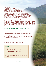The mandate and objectives of the SGDT are to provide assistance to small-scale growers in terms of sugar-cane development, improvement and expansion of cane-growing enterprises.

*Umthombo Agricultural Finance (UAF)*, an internal financial assistance facility, provides funding to developing farmers located in Tribal Authority areas and other developing farmers who are not able to access finance from the Land Bank or the commercial banking sector. UAF has a loan book of R250 million and has made over 45 000 loans to developing farmers since its inception.

In 1996, a KwaZulu-Natal development agency, the Ithala Development Finance Corporation Limited, sugar industry giants, Illovo Sugar Limited and the Tongaat Group, and the South African Cane Growers' Association jointly launched an empowerment initiative to open doors to previously disadvantaged individuals owning and operating their own commercial sugar farms. The scheme provided for coordinated redistribution of farmland within the sugar industry and assisted in balancing the demographics of suppliers of cane to mills.

#### **5. LOCAL BUSINESS OPPORTUNITIES AND CHALLENGES**

The SACU comprises South Africa, Swaziland, Lesotho, Botswana and Namibia. Domestic sugar prices in the SACU remain substantially below those of the developed nations.

The sugar industry in South Africa is facing the following challenges at present:

- 5.1 The strengthening of the rand against the dollar.
- 5.2 Cost push pressures since the year 2000 that have rendered the industry less competitive in US dollar terms.
- 5.3 The world market price being generally low owing to subsidy induced over-supply in the world market and little movement in world sugar trade liberalisation.
- 5.4 Poor rainfall in many parts of the sugar-cane belt.

#### **Sources**

- South African Sugar Association
- South African Cane Growers' Association
- South African Sugar Millers' Association
- NAMC. *Transformation in the Agricultural Sector: A Section 7 Committee Investigation* – draft document.
- Directorate of Agricultural Statistics, Department of Agriculture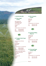#### **6. SUGAR MILLERS**

#### **6.1 Illovo Sugar Limited**

Illovo Sugar Park 1 Montgomery Drive Mount Edgecombe

P.O. Box 194 Durban 4000

Contact person: H.R. Hackmann

Tel: (031) 508 4345<br>Fax: (031) 508 4499  $(031)$  508 4499 Website: www.illovo.co.za



#### **6.2 Tongaat-Hulett Sugar Limited**

Amanzimnyama Hill Road **Tongaat** 

Private Bag 3 **Glenashley** 4022

Contact person: P.D. McKerchar

Tel: (032) 439 4307<br>Fax: (032) 439 4392 (032) 439 4392 Website: www.tongaat.co.za

Tongaat-Hulett Sugar Refinery 444 South Coast Road Rossburgh 4094

P.O. Box 1501 Durban 4000

### **6.3 UCL Company Limited**

Dalton Mill P.O. Box 1 **Dalton** 3236

Contact person: H.W. Rencken

Tel: (033) 501 1600<br>Fax: (033) 501 1187 (033) 501 1187



#### **6.4 Usukhela Milling (Pty) Ltd**

Gledhow Mill P.O. Box 55 **Stanger** 4450

#### Contact person: M.A. Walsh

Tel: (035) 550 0031 Fax: (032) 551 5568



# **6.5 Transvaal Sugar Limited (TSB)**

P.O. Box 47 Malelane 1320

Contact person: I.G. van der Walt

| Tel: | $(013)$ 791 1000 |
|------|------------------|
| Fax: | $(013)$ 790 0769 |

Page 10